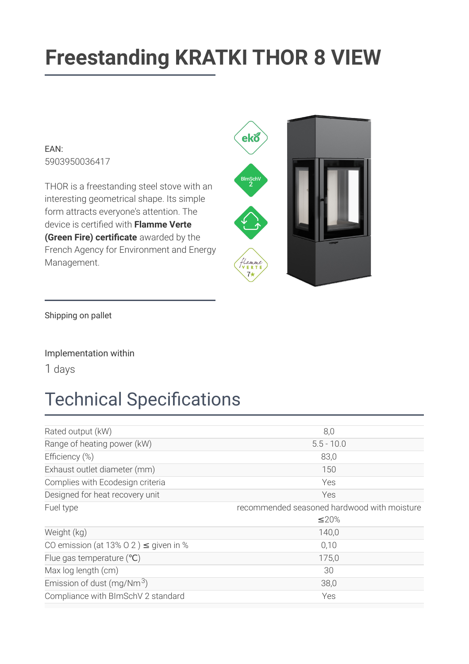# **Freestanding KRATKI THOR 8 VIEW**

 $FAN$ 5903950036417

THOR is a freestanding steel stove with an interesting geometrical shape. Its simple form attracts everyone's attention. The device is certified with Flamme Verte (Green Fire) certificate awarded by the French Agency for Environment and Energy Management.



Shipping on pallet

#### Implementation within

1 days

## **Technical Specifications**

| Rated output (kW)                          | 8,0                                         |
|--------------------------------------------|---------------------------------------------|
| Range of heating power (kW)                | $5.5 - 10.0$                                |
| Efficiency (%)                             | 83,0                                        |
| Exhaust outlet diameter (mm)               | 150                                         |
| Complies with Ecodesign criteria           | Yes                                         |
| Designed for heat recovery unit            | Yes                                         |
| Fuel type                                  | recommended seasoned hardwood with moisture |
|                                            | $\leq$ 20%                                  |
| Weight (kg)                                |                                             |
|                                            | 140,0                                       |
| CO emission (at 13% O 2) $\leq$ given in % | 0,10                                        |
| Flue gas temperature $(°C)$                | 175,0                                       |
| Max log length (cm)                        | 30                                          |
| Emission of dust (mg/Nm $3$ )              | 38,0                                        |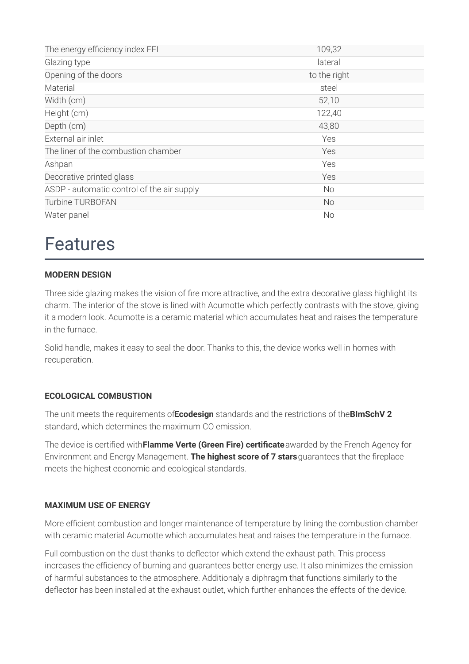| The energy efficiency index EEI            | 109,32       |
|--------------------------------------------|--------------|
| Glazing type                               | lateral      |
| Opening of the doors                       | to the right |
| Material                                   | steel        |
| Width (cm)                                 | 52,10        |
| Height (cm)                                | 122,40       |
| Depth (cm)                                 | 43,80        |
| External air inlet                         | <b>Yes</b>   |
| The liner of the combustion chamber        | Yes          |
| Ashpan                                     | Yes          |
| Decorative printed glass                   | Yes          |
| ASDP - automatic control of the air supply | No           |
| <b>Turbine TURBOFAN</b>                    | <b>No</b>    |
| Water panel                                | No           |

### **Features**

#### **MODERN DESIGN**

Three side glazing makes the vision of fire more attractive, and the extra decorative glass highlight its charm. The interior of the stove is lined with Acumotte which perfectly contrasts with the stove, giving it a modern look. Acumotte is a ceramic material which accumulates heat and raises the temperature in the furnace.

Solid handle, makes it easy to seal the door. Thanks to this, the device works well in homes with recuperation.

#### **ECOLOGICAL COMBUSTION**

The unit meets the requirements of Ecodesign standards and the restrictions of the BImSchV 2 standard, which determines the maximum CO emission.

The device is certified with Flamme Verte (Green Fire) certificate awarded by the French Agency for Environment and Energy Management. The highest score of 7 stars guarantees that the fireplace meets the highest economic and ecological standards.

#### **MAXIMUM USE OF ENERGY**

More efficient combustion and longer maintenance of temperature by lining the combustion chamber with ceramic material Acumotte which accumulates heat and raises the temperature in the furnace.

Full combustion on the dust thanks to deflector which extend the exhaust path. This process increases the efficiency of burning and quarantees better energy use. It also minimizes the emission of harmful substances to the atmosphere. Additionaly a diphragm that functions similarly to the deflector has been installed at the exhaust outlet, which further enhances the effects of the device.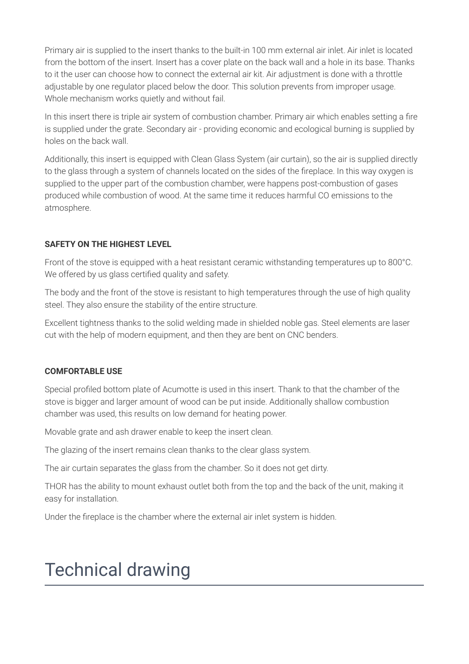Primary air is supplied to the insert thanks to the built-in 100 mm external air inlet. Air inlet is located from the bottom of the insert. Insert has a cover plate on the back wall and a hole in its base. Thanks to it the user can choose how to connect the external air kit. Air adjustment is done with a throttle adiustable by one requlator placed below the door. This solution prevents from improper usage. Whole mechanism works quietly and without fail.

In this insert there is triple air system of combustion chamber. Primary air which enables setting a fire is supplied under the grate. Secondary air - providing economic and ecological burning is supplied by holes on the back wall.

Additionally, this insert is equipped with Clean Glass System (air curtain), so the air is supplied directly to the glass through a system of channels located on the sides of the fireplace. In this way oxygen is supplied to the upper part of the combustion chamber, were happens post-combustion of gases produced while combustion of wood. At the same time it reduces harmful CO emissions to the atmosphere.

#### **SAFETY ON THE HIGHEST LEVEL**

Front of the stove is equipped with a heat resistant ceramic withstanding temperatures up to 800°C. We offered by us glass certified quality and safety.

The body and the front of the stove is resistant to high temperatures through the use of high quality steel. They also ensure the stability of the entire structure.

Excellent tightness thanks to the solid welding made in shielded noble gas. Steel elements are laser cut with the help of modern equipment, and then they are bent on CNC benders.

#### **COMFORTABLE USE**

Special profiled bottom plate of Acumotte is used in this insert. Thank to that the chamber of the stove is bigger and larger amount of wood can be put inside. Additionally shallow combustion chamber was used, this results on low demand for heating power.

Movable grate and ash drawer enable to keep the insert clean.

The glazing of the insert remains clean thanks to the clear glass system.

The air curtain separates the glass from the chamber. So it does not get dirty.

THOR has the ability to mount exhaust outlet both from the top and the back of the unit, making it easy for installation.

Under the fireplace is the chamber where the external air inlet system is hidden.

### **Technical drawing**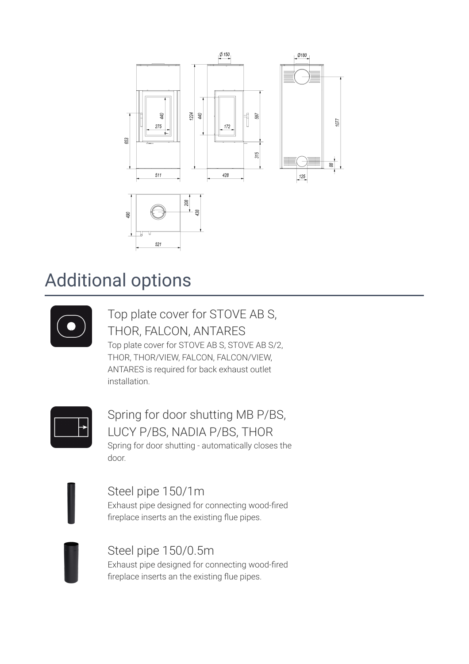

### **Additional options**



Top plate cover for STOVE AB S, THOR, FALCON, ANTARES Top plate cover for STOVE AB S, STOVE AB S/2, THOR, THOR/VIEW, FALCON, FALCON/VIEW, ANTARES is required for back exhaust outlet installation.



Spring for door shutting MB P/BS, LUCY P/BS, NADIA P/BS, THOR Spring for door shutting - automatically closes the door.

Steel pipe 150/1m Exhaust pipe designed for connecting wood-fired fireplace inserts an the existing flue pipes.

Steel pipe 150/0.5m Exhaust pipe designed for connecting wood-fired fireplace inserts an the existing flue pipes.